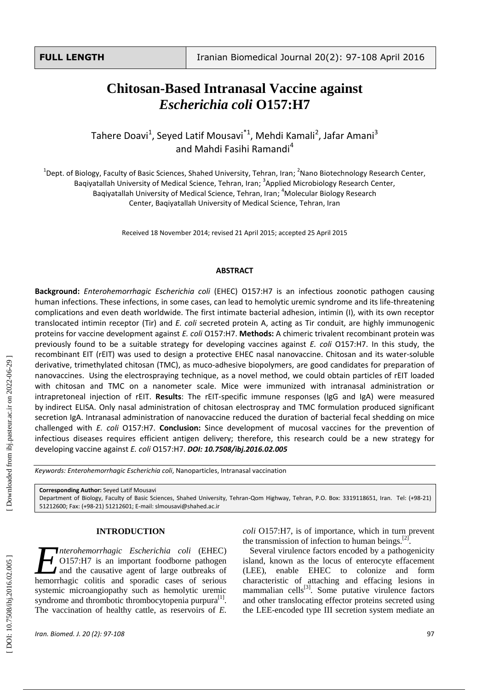# *Escherichia coli* **O157:H7**

Tahere Doavi<sup>1</sup>, Seyed Latif Mousavi<sup>\*1</sup>, Mehdi Kamali<sup>2</sup>, Jafar Amani<sup>3</sup> and Mahdi Fasihi Ramandi<sup>4</sup>

 $^1$ Dept. of Biology, Faculty of Basic Sciences, Shahed University, Tehran, Iran; <sup>2</sup>Nano Biotechnology Research Center, Baqiyatallah University of Medical Science, Tehran, Iran; <sup>3</sup>Applied Microbiology Research Center, Baqiyatallah University of Medical Science, Tehran, Iran; <sup>4</sup>Molecular Biology Research Center, Baqiyatallah University of Medical Science, Tehran, Iran

Received 18 November 2014; revised 21 April 2015; accepted 25 April 2015

#### **ABSTRACT**

**Chitosan-Based Intranasal Vaccine against**<br> *Escherichia coli* **O157:H7**<br>
ere Doavi<sup>3</sup>, Seyed altif Moussav<sup>12</sup>, Mehdi Kamali<sup>2</sup>, Jafar Amani<sup>2</sup><br>
and Mahdi Fasih Ramandi<sup>4</sup><br>
another also since the state theoresis, Techno **Background:** *Enterohemorrhagic Escherichia coli* (EHEC) O157:H7 is an infectious zoonotic pathogen causing human infections. These infections, in some cases, can lead to hemolytic uremic syndrome and its life -threatening complications and even death worldwide. The first intimate bacterial adhesion, intimin (I), with its own receptor translocated intimin receptor (Tir) and *E. coli* secreted protein A, actin g as Tir conduit, are highly immunogenic proteins for vaccine development against *E. coli* O157:H7. **Methods:** A chimeric trivalent recombinant protein was previously found to be a suitable strategy for developing vaccines against *E. coli* O157:H7. In this study, the recombinant EIT (rEIT) was used to design a protective EHEC nasal nanovaccine. Chitosan and its water -soluble derivative, trimethylated chitosan (TMC), as muco -adhesive biopolymers, are good candidates for preparation of nanovaccines. Using the electrospraying technique, as a novel method, we could obtain particles of rEIT loaded with chitosan and TMC on a nanometer scale. Mice were immunized with intranasal administration or intrapretoneal injection of rEIT. **Results**: The rEIT-specific immune responses (IgG and IgA) were measured by indirect ELISA. Only nasal administration of chitosan electrospray and TMC formulation produced significant secretion IgA. Intranasal administration of nanovaccine reduced the duration of bacterial fecal shedding on mice challenged with *E. coli* O157:H7. **Conclusion:** Since development of mucosal vaccines for the prevention of infectious diseases requires efficient antigen delivery; therefore, this research could be a new strategy for developing vaccine against *E. coli* O157:H7. *DOI: 10 .7508/ibj.2016.02.005*

*Keywords: Enterohemorrhagic Escherichia coli*, Nanoparticles, Intranasal vaccination

**Corresponding Author:** Seyed Latif Mousavi

Department of Biology, Faculty of Basic Sciences, Shahed University, Tehran-Qom Highway, Tehran, P.O. Box: 3319118651, Iran. Tel: (+98-21) 51212600; Fax: (+98-21) 51212601; E-mail[: slmousavi@shahed.ac.ir](mailto:slmousavi@shahed.ac.ir)

#### **INTRODUCTION**

*nterohemorrhagic Escherichia coli* (EHEC) O157:H7 is an important foodborne pathogen and the causative agent of large outbreak s of *Interohemorrhagic Escherichia coli* (EHEC)<br> **2** O157:H7 is an important foodborne pathogen<br>
and the causative agent of large outbreaks of<br>
hemorrhagic colitis and sporadic cases of serious systemic microangiopathy such as hemolytic uremic syndrome and thrombotic thrombocytopenia purpura<sup>[1]</sup>. The vaccination of healthy cattle, as reservoir s of *E.*

*coli* O157:H7, is of importance, which in turn prevent the transmission of infection to human beings. $^{[2]}$ .

Several virulence factors encoded by a pathogenicity island, known as the locus of enterocyte effacement (LEE), enable EHEC to colonize and form characteristic of attaching and effacing lesions in mammalian cells<sup>[3]</sup>. Some putative virulence factors and other translocating effector proteins secreted using the LEE -encoded type III secretion system mediate an

[Downloaded from ibj.pasteur.ac.ir on 2022-06-29]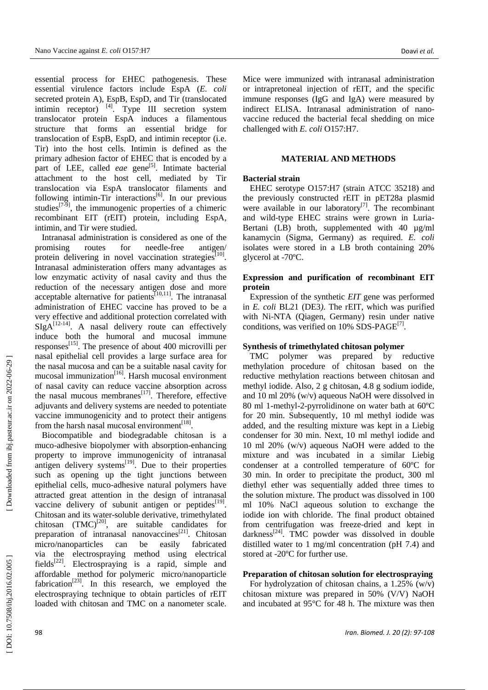essential process for EHEC pathogenesis . These essential virulence factors include EspA (*E. coli* secreted protein A) , EspB, EspD, and Tir (translocated intimin receptor)  $^{[4]}$ . Type III secretion system translocator protein EspA induces a filamentous structure that form s an essential bridge for translocation of EspB, EspD, and intimin receptor (i.e. Tir) into the host cell s. Intimin is defined as the primary adhesion factor of EHEC that is encoded by a part of LEE, called *eae* gene<sup>[5]</sup>. Intimate bacterial attachment to the host cell, mediated by Tir translocation via EspA translocator filaments and following intimin-Tir interactions<sup>[6]</sup>. In our previous studies<sup>[7-9]</sup>, the immunogenic properties of a chimeric recombinant EIT (rEIT) protein, including EspA, intimin, and Tir were studied.

Intranasal administration is considered as one of the promising route for needle-free antigen/ protein delivering in novel vaccination strategies<sup>[10]</sup>. Intranasal administeration offers many advantages as low enzymatic activity of nasal cavity and thus the reduction of the necessary antigen dose and more acceptable alternative for patients<sup>[10,11]</sup>. The intranasal administration of EHEC vaccine has proved to be a very effective and additional protection correlated with  $SIgA^{[12-14]}$ . A nasal delivery route can effectively induce both the humoral and mucosal immune responses<sup>[15]</sup>. The presence of about 400 microvilli per nasal epithelial cell provides a large surface area for the nasal mucosa and can be a suitable nasal cavity for mucosal immunization [16 ] . Harsh mucosal environment of nasal cavity can reduce vaccine absorption across the nasal mucous membranes<sup>[17]</sup>. Therefore, effective adjuvants and delivery systems are needed to potentiate vaccine immunogenicity and to protect their antigens from the harsh nasal mucosal environment<sup>[18]</sup>.

Biocompatible and biodegradable chitosan is a muco -adhesive biopolymer with absorption -enhancing property to improve immunogenicity of intranasal antigen delivery systems $^{[19]}$ . Due to their properties such as opening up the tight junctions between epithelial cells, muco -adhesive natural polymers have attracted great attention in the design of intranasal vaccine delivery of subunit antigen or peptides<sup>[19]</sup>. Chitosan and its water -soluble derivative, trimethylated chitosan  $(TMC)^{[20]}$ , are suitable candidates for preparation of intranasal nanovaccines<sup>[21]</sup>. Chitosan micro/nanoparticles can be easily fabricated via the electrospra ying method using electrical fields<sup>[22]</sup>. Electrospraying is a rapid, simple and affordable method for polymeric micro/nanoparticle  $f$ abrication<sup>[23]</sup>. In this research, we employed the electrospraying technique to obtain particles of rEIT loaded with chitosan and TMC on a nanometer scale.

Mice were immunized with intranasal administration or intrapretoneal injection of rEIT, and the specific immune responses (IgG and IgA) were measured by indirect ELISA. Intranasal administration of nano vaccine reduc ed the bacterial fecal shedding on mice challenged with *E. coli* O157:H7.

# **MATERIAL AND METHODS**

# **Bacterial strain**

EHEC serotype O157:H7 (strain ATCC 35218) and the previously constructed rEIT in pET28a plasmid were available in our laboratory $[7]$ . The recombinant and wild -type EHEC strains were grown in Luria - Bertani (LB) broth, supplemented with 40  $\mu$ g/ml kanamycin ( Sigma, Germany ) as required. *E. coli* isolates were stored in a LB broth containing 20% glycerol at -70 ºC.

# **Expression and purification of recombinant EIT protein**

Expression of the synthetic *EIT* gene was performed in *E. coli* BL21 (DE3 *)*. The rEIT, which was purified with Ni -NTA (Qiagen, Germany) resin under native conditions, was verified on 10% SDS-PAGE<sup>[7]</sup>.

#### **Synthesis of trimethylated chitosan polymer**

TMC polymer was prepared by reductive methylation procedure of chitosan based on the reductive methylation reactions between chitosan and methyl iodide. Also, 2 g chitosan, 4.8 g sodium iodide, and 10 ml 20% (w/v) aqueous NaOH were dissolved in 80 ml 1 -methyl - 2 -pyrrolidinone on water bath at 60 º C for 20 min. Subsequently, 10 ml methyl iodide was added , and the resulting mixture was kept in a Liebig condenser for 30 min. Next, 10 ml methyl iodide and 10 ml 20% (w/v) aqueous NaOH were added to the mixture and was incubated in a similar Liebig condenser at a controlled temperature of 60 º C for 30 min. In order to precipitat e the product, 300 ml diethyl ether was sequentially added three times to the solution mixture. The product was dissolved in 100 ml 10% NaCl aqueous solution to exchange the iodide ion with chloride. The final product obtained from centrifugation was freez e -dried and kept in darkness<sup>[24]</sup>. TMC powder was dissolved in double distilled water to 1 mg/ml concentration (pH 7.4) and stored at -20 ºC for further use.

#### **Preparation of chitosan solution for electrospraying**

For hydrolyzation of chitosan chains , a 1.25% (w/v) chitosan mixture was prepared in 50% (V/V) NaOH and incubated at 95°C for 48 h. The mixture was then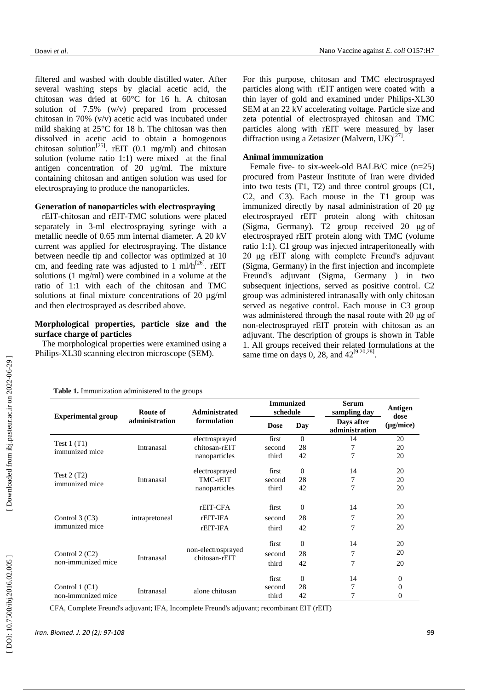filtered and washed with double distilled water . After several washing step s by glacial acetic acid, the chitosan was dried at 60°C for 16 h. A chitosan solution of 7.5% (w/v) prepared from processed chitosan in 70% (v/v) acetic acid was incubated under mild shaking at 25°C for 18 h. The chitosan was then dissolved in acetic acid to obtain a homogenous chitosan solution<sup>[25]</sup>. rEIT (0.1 mg/ml) and chitosan solution (volume ratio 1:1) were mixed at the final antigen concentration of 20 µg/ml. The mixture containing chitosan and antigen solution was used for electrospraying to produce the nanoparticles.

# **Generation of nanoparticles with electrospraying**

rEIT -chitosan and rEIT -TMC solutions were placed separately in 3-ml electrospraying syringe with a metallic needle of 0. 65 mm internal diameter. A 20 k V current was applied for electrospraying. The distance between needle tip and collector was optimized at 1 0 cm, and feeding rate was adjusted to  $1 \text{ ml/h}^{[26]}$ . rEIT solutions (1 mg/ml) were combined in a volume at the ratio of 1:1 with each of the chitosan and TMC solutions at final mixture concentrations of 20 µg/ml and then electrosprayed as described above .

# **Morphological properties, particle size and the surface charge of particles**

The morphological properties were examined using a Philips -XL30 scanning electron microscope (SEM).

For this purpose, chitosan and TMC electrosprayed particles along with rEIT antigen were coated with a thin layer of gold and examined under Philips -XL30 SEM at an 22 kV accelerating voltage. Particle size and zeta potential of electrosprayed chitosan and TMC particles along with rEIT were measured by laser diffraction using a Zetasizer (Malvern,  $UK$ )<sup>[27]</sup>.

# **Animal immunization**

**Immunized schedule**

second  $28$ <br>third  $42$ 

second  $28$ <br>third  $42$ 

second 28

third  $42$ 

second 28

third 42

second 28

third 42

first

third

first

third

first

first

first

Female five- to six-week-old BALB/C mice (n=25) procured from Pasteur Institute of Iran were divided into two tests (T1 , T2) and three control groups (C1, C2 , and C3) . Each mouse in the T1 group was immunized directly by nasal administration of 20 μg electros prayed rEIT protein along with chitosan (Sigma, Germany ) . T2 group received 20 μg of electrosprayed rEIT protein along with TMC (volume ratio 1:1 ). C 1 group was injected intraperitoneally with 20 μg rEIT along with complete Freund's adjuvant (Sigma, Germany) in the first injection and incomplete Freund's adjuvant (Sigma, Germany ) in two subsequent injections, served as positive control . C2 group was administered intranasally with only chitosan served as negative control. Each mouse in C3 group was administered through the nasal route with 20 μg of non -electrosprayed rEIT protein with chitosan as an adjuvant. The description of groups is shown in Table 1. All groups received their related formulations at the same time on days 0, 28, and  $42^{[9,20,28]}$ .

**Serum** 

0 14 20

0 14 20

0 14 20

0 14 20

7

7

0 14

**Dose Day Days after** (µg/mice) **administration**

**sampling day Antigen** 

7 20

7 20

 $\frac{7}{7}$  20

7 20

7 20

7 20

7 20

**dose** 

20

0

 $\theta$ 

0

|  |  | Table 1. Immunization administered to the groups |  |  |
|--|--|--------------------------------------------------|--|--|
|--|--|--------------------------------------------------|--|--|

| <b>Experimental group</b>             | Route of<br>administration | Administrated<br>formulation                     |
|---------------------------------------|----------------------------|--------------------------------------------------|
| Test $1(T1)$<br>immunized mice        | Intranasal                 | electrosprayed<br>chitosan-rEIT<br>nanoparticles |
| Test $2(T2)$<br>immunized mice        | Intranasal                 | electrosprayed<br>TMC-rEIT<br>nanoparticles      |
| Control $3$ (C3)<br>immunized mice    | intrapretoneal             | rEIT-CFA<br>rEIT-IFA<br>rEIT-IFA                 |
| Control $2(C2)$<br>non-immunized mice | Intranasal                 | non-electrosprayed<br>chitosan-rEIT              |

Control 1 (C1)<br>non-immunized mice Intranasal alone chitosan

CFA, Complete Freund's adjuvant; IFA, Incomplete Freund's adjuvant; recombinant EIT (rEIT)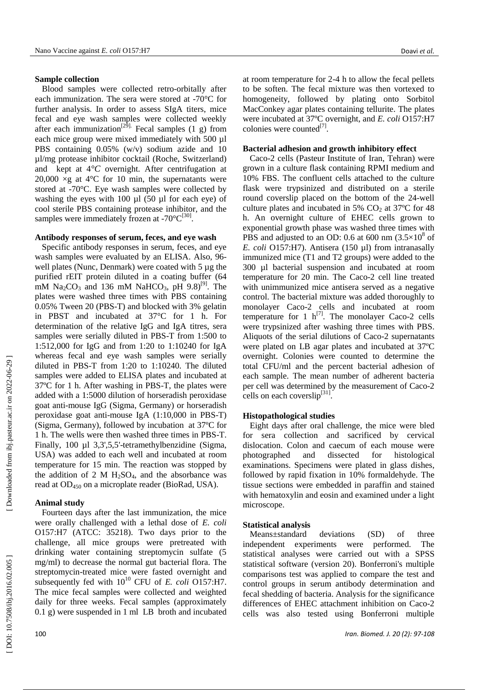# **Sample collection**

Blood samples were collected retro -orbitally after each immunization. The sera were stored at  $-70^{\circ}$ C for further analysis . In order to assess SIgA titers, mice fecal and eye wash samples were collected weekly after each immunization<sup>[29]</sup> Fecal samples (1 g) from each mice group were mixed immediately with 500 µl PBS containing 0.05% (w/v) sodium azide and 10 µl/mg protease inhibitor cocktail (Ro c h e, Switzerland ) and kept at 4*°C* overnight. After centrifugation at 20,000  $\times$ g at 4°C for 10 min, the supernatants were stored at -70°C. Eye wash samples were collected by washing the eyes with 100 µl (50 µl for each eye) of cool sterile PBS containing protease inhibitor, and the samples were immediately frozen at -70 $^{\circ}C^{[30]}$ .

# **Antibody responses of serum, feces, and eye wash**

Specific antibody responses in serum, feces , and eye wash samples were evaluated by an ELISA. Also, 96 well plates (Nunc, Denmark) were coated with 5 µg the purified rEIT protein diluted in a coating buffer (64 mM  $\text{Na}_2\text{CO}_3$  and 136 mM  $\text{NaHCO}_3$ , pH  $9.8$ )<sup>[9]</sup>. The plates were washed three times with PBS containing 0.05% Tween 20 (PBS - T ) and blocked with 3% gelatin in PBST and incubated at 37°C for 1 h . For determination of the relative IgG and IgA titres , sera samples were serially diluted in PBS-T from 1:500 to 1 :512 ,000 for IgG and from 1 :20 to 1 :10240 for IgA whereas fecal and eye wash samples were serially diluted in PBS - T from 1:20 to 1 :10240 . The diluted samples were added to ELISA plates and incubated at 37 º C for 1 h. After washing in PBS -T, the plates were added with a 1 :5000 dilut ion of horseradish peroxidase goat anti -mouse IgG (Sigma, Germany) or horseradish peroxidase goat anti -mouse IgA (1 :10 ,000 in PBS -T) (Sigma , Germany), followed by incubation at 37 º C for 1 h. The wells were then washed three times in PBS -T. Finally, 100 µl 3,3',5,5' -tetramethylbenzidine (Sigma, USA) was added to each w ell and incubated at room temperature for 15 min. The reaction was stopped by the addition of 2 M  $H_2SO_4$ , and the absorbance was read at OD<sup>450</sup> on a microplate reader (Bio Rad, USA).

# **Animal stud y**

Fourteen days after the last immunization, the mice were orally challenged with a lethal dose of *E. coli* O157:H7 (ATCC: 35218) . Two days prior to the challenge , all mice groups were pretreated with drinking water containing streptomycin sulfate (5 mg/ml) to decrease the normal gut bacterial flora. The streptomycin -treated mice were fasted overnight and subsequently fed with  $10^{10}$  CFU of *E. coli* O157:H7. The mice fecal samples were collected and weighted daily for three weeks. Fecal samples (approximately 0.1 g) were suspended in 1 ml LB broth and incubated

at room temperature for 2 -4 h to allow the fecal pellets to be soften. The fecal mixture was then vortexed to homogeneity, followed by plating onto Sorbitol MacConkey agar plates containing tellurite. The plates were incubated at 37 ºC overnight, and *E. coli* O157:H7 colonies were counted<sup>[7]</sup>.

# **Bacterial adhesion and growth inhibitory effect**

Caco -2 cells (Pasteur Institute of Iran, Tehran ) were grown in a culture flask containing RPMI medium and 10% FBS. The confluen t cells attached to the culture flask were trypsinized and distributed o n a sterile round coverslip placed on the bottom of the 24 -well culture plates and incubated in 5%  $CO<sub>2</sub>$  at 37°C for 48 h. An overnight culture of EHEC cells grow n to exponential growth phase was washed three times with PBS and adjusted to an OD: 0.6 at 600 nm  $(3.5\times10^8 \text{ of }$ *E. coli* O157:H7) . Antisera (150 µl) from intranasally immunized mice ( T 1 and T2 groups) were added to the 300 µl bacterial suspension and incubated at room temperature for 20 min. The Caco -2 cell line treated with unimmunized mice antisera served as a negative control. The bacterial mixture was added thoroughly to monolayer Caco -2 cells and incubated at room temperature for 1  $h^{[7]}$ . The monolayer Caco-2 cells were trypsinized after washing three times with PBS. Aliquots of the serial dilutions of Caco-2 supernatants were plated on LB agar plates and incubated at 37 ºC overnight. Colonies were counted to determine the total CFU/ml and the percen t bacterial adhesion of each sample. The mean number of adherent bacteria per cell was determined by the measurement of Caco -2 cells on each coverslip<sup>[31]</sup>.

# **Histopathological studies**

Eight days after oral challenge, the mice were bled for sera collection and sacrificed by cervical dislocation . Colon and caecum of each mouse were photographed and dissected for histological examination s . Specimens were plated in glass dishes , followed by rapid fixation in 10% formaldehyde . The tissue sections were embedded in paraffin and stained with hematoxylin and eosin and examined under a light microscope.

# **Statistical analysis**

Means±standard deviations (SD) of three independent experiments were performed. The statistical analyses were carried out with a SPSS statistical software (version 20). Bonferroni's multiple comparisons test was applied to compare the test and control groups in serum antibody determination and fecal shedding of bacteria. Analysis for the significance differences of EHEC attachment inhibition on Caco -2 cells was also tested using Bonferroni multiple

DOI: 10.7508/ibj.2016.02.005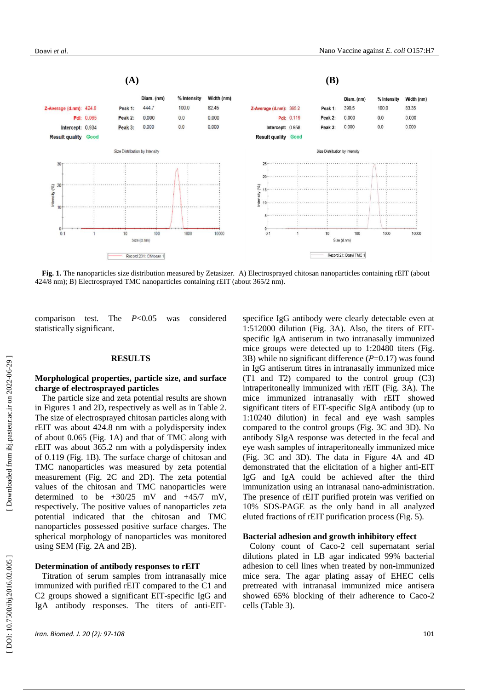

Fig. 1. The nanoparticles size distribution measured by Zetasizer. A) Electrosprayed chitosan nanoparticles containing rEIT (about 424/8 nm); B) Electrosprayed TMC nanoparticles containing rEIT (about 365/2 nm).

comparison test. The *P*<0.05 was considered statistically significant .

#### **RESULTS**

# **Morphological properties, particle size , and surface charge of electrosprayed particles**

The particle size and zeta potential results are shown in Figures 1 and 2D, respectively as well as in Table 2. The size of electrosprayed chitosan particles along with rEIT was about 424 . 8 nm with a polydispersity index of about 0.065 (Fig. 1 A ) and that of TMC along with rEIT was about 365 . 2 nm with a polydispersity index of 0.119 (Fig. 1 B). The surface charge of chitosan and TMC nanoparticles was measured by zeta potential measurement (Fig. 2C and 2 D). The zeta potential value s of the chitosan and TMC nanoparticles were determined to be  $+30/25$  mV and  $+45/7$  mV, respectively. The positive values of nanoparticles zeta potential indicate d that the chitosan and TMC nanoparticles possessed positive surface charge s. The spherical morphology of nanoparticles was monitored using SEM (Fig. 2A and 2B).

#### **Determination of antibody responses to rEIT**

Titration of serum samples from intranasally mice immunized with purified rEIT compared to the C1 and C2 groups showed a significant EIT -specific IgG and IgA antibody responses. The titers of anti-EIT-

specifice IgG antibod y were clearly detectable even at 1:512000 dilution (Fig. 3 A ). Also, the titers of EIT specific IgA antiserum in two intranasally immunized mice groups were detected up to 1:20480 titers (Fig. 3 B ) while no significant difference ( *P*=0.17) was found in IgG antiserum titres in intranasally immunized mice (T1 and T2) compared to the control group (C3) intraperitoneally immunized with rEIT (Fig. 3 A). The mice immunized intranasally with rEIT showed significant titers of EIT -specific SIgA antibody (up to 1:10240 dilution) in fe cal and eye wash samples compared to the control groups (Fig. 3C and 3 D). No antibody SIgA response was detected in the fe cal and eye wash samples of intraperitoneally immunized mice (Fig. 3C and 3D). The data in Figure 4A and 4D demonstrated that the elicitation of a higher anti -EIT IgG and IgA could be achieved after the third immunization using an intranasal nano -administration. The presence of rEIT purified protein was verified on 10% SDS -PAGE as the only band in all analyzed eluted fractions of r EIT purification process (Fig. 5 ).

#### **Bacterial adhesion and growth inhibitory effect**

Colony count of Caco -2 cell supernatant serial dilutions plated in LB agar indicated 99% bacteria l adhesion to cell lines when treated by non -immunized mice sera . The agar plating assay of EHEC cells pretreated with intranasal immunized mice antisera showed 65% blocking of their adherence to Caco -2 cells (Table 3 ) .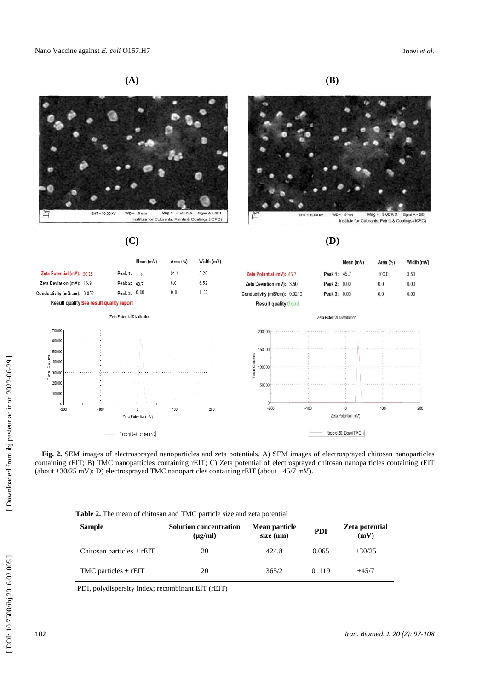



Record 341: chitos an 3





Institute for Colorants, Paints & Coatings (ICPC)

#### **(C) (D )**

|                                                 |                             |        |                             | Mean (mV)           | Area (%) | Width (mV) |                              |        |                             | Mean (mV)                       | Area (%) | Width (mV) |
|-------------------------------------------------|-----------------------------|--------|-----------------------------|---------------------|----------|------------|------------------------------|--------|-----------------------------|---------------------------------|----------|------------|
|                                                 | Zeta Potential (mV): 30.25  |        | Peak 1: 11.8                |                     | 91.1     | 5.26       | Zeta Potential (mV): 45.7    |        | Peak 1: 45.7                |                                 | 100.0    | 3.50       |
|                                                 | Zeta Deviation (mV): 16.9   |        | Peak 2: 48.7                |                     | 6.0      | 6.52       | Zeta Deviation (mV): 3.50    |        | Peak 2:                     | 0.00                            | 0.0      | 0.00       |
|                                                 | Conductivity (mS/cm): 0.952 |        | Peak 3: 0.00                |                     | 0.0      | 0.00       | Conductivity (mS/cm): 0.0210 |        | Peak 3: 0.00                |                                 | 0.0      | 0.00       |
| <b>Result quality See result quality report</b> |                             |        |                             |                     |          |            | <b>Result quality Good</b>   |        |                             |                                 |          |            |
|                                                 |                             |        | Zeta Potential Distribution |                     |          |            |                              |        | Zeta Potential Distribution |                                 |          |            |
|                                                 | 70000                       |        |                             |                     |          |            | 200000                       |        |                             |                                 |          |            |
|                                                 | 60000                       |        |                             |                     |          |            |                              |        |                             |                                 |          |            |
|                                                 | 50000                       |        |                             |                     |          |            | 150000                       |        |                             |                                 |          |            |
| ounts                                           | 40000                       |        |                             |                     |          |            | ounts<br>O                   |        |                             |                                 |          |            |
| Total C                                         | 30000                       |        |                             |                     |          |            | 100000<br>Total              |        |                             |                                 |          |            |
|                                                 | 20000                       |        |                             |                     |          |            | 50000                        |        |                             |                                 |          |            |
|                                                 | 10000                       |        |                             |                     |          |            |                              |        |                             |                                 |          |            |
|                                                 |                             |        |                             |                     |          |            | n                            |        |                             |                                 |          |            |
|                                                 | $-200$                      | $-100$ |                             | Zeta Potential (mV) | 100      | 200        | $-200$                       | $-100$ |                             | $\Omega$<br>Zeta Potential (mV) | 100      | 200        |
|                                                 |                             |        |                             |                     |          |            |                              |        |                             |                                 |          |            |

Record 20: Doavi TMC 1 

**Fig. 2.** SEM images of electrosprayed nanoparticles and zeta potentials. A) SEM images of electrosprayed chitosan nanoparticles containing rEIT; B) TMC nanoparticles containing rEIT; C ) Zeta potential of electrosprayed chitosan nanoparticles containing rEIT (about  $+30/25$  mV); D) electrosprayed TMC nanoparticles containing rEIT (about  $+45/7$  mV).

| <b>Table 2.</b> The mean of chitosan and TMC particle size and zeta potential |
|-------------------------------------------------------------------------------|
|-------------------------------------------------------------------------------|

| <b>Sample</b>               | <b>Solution concentration</b><br>$(\mu$ g/ml) | Mean particle<br>$size$ (nm) | <b>PDI</b> | Zeta potential<br>(mV) |
|-----------------------------|-----------------------------------------------|------------------------------|------------|------------------------|
| Chitosan particles $+$ rEIT | 20                                            | 424.8                        | 0.065      | $+30/25$               |
| $TMC$ particles + rEIT      | 20                                            | 365/2                        | 0.119      | $+45/7$                |

PDI, polydispersity index; recombinant EIT (rEIT)

[Downloaded from ibj.pasteur.ac.ir on 2022-06-29]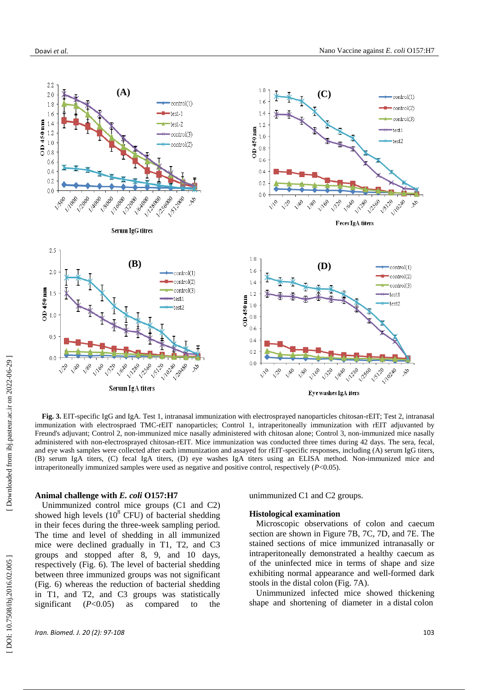

Fig. 3. EIT-specific IgG and IgA. Test 1, intranasal immunization with electrosprayed nanoparticles chitosan-rEIT; Test 2, intranasal immunization with electrospraed TMC-rEIT nanoparticles; Control 1, intraperitoneally immunization with rEIT adjuvanted by Freund's adjuvant; Control 2, non-immunized mice nasally administered with chitosan alone; Control 3, non-immunized mice nasally administered with non-electrosprayed chitosan-rEIT. Mice immunization was conducted three times during 42 days. The sera, fecal, and eye wash samples were collected after each immunization and assayed for rEIT-specific responses, including (A) serum IgG titers, ( B) serum IgA titers, ( C) fecal IgA titers, ( D) eye washes IgA titers using an ELISA method. Non -immunized mice and intraperitoneally immunized samples were used as negative and positive control, respectively ( *P*<0.05).

#### **Animal challenge with** *E. coli* **O157:H7**

Unimmunized control mice groups (C1 and C2) showed high levels  $(10^8 \text{ CFU})$  of bacterial shedding in their feces during the three -week sampling period. The time and level of shedding in all immunized mice were declined gradually in T1, T2, and C3 groups and stopped after 8, 9, and 10 days, respectively (Fig. 6). The level of bacterial shedding between three immunized groups was not significant (Fig. 6) whereas the reduction of bacterial shedding in T1, and T2, and C3 groups was statistically significant  $(P<0.05)$ as compared to the

unimmunized C1 and C2 groups.

#### **Histological examination**

Microscopic observations of colon and caecum section are shown in Figure 7 B, 7 C, 7 D, and 7 E. The stained sections of mice immunized intranasally or intraperitoneally demonstrated a healthy caecum as of the uninfected mice in terms of shape and size exhibiting normal appearance and well -formed dark stools in the distal colon (Fig. 7 A).

Unimmunized infected mice showed thickening shape and shortening of diameter in a distal colon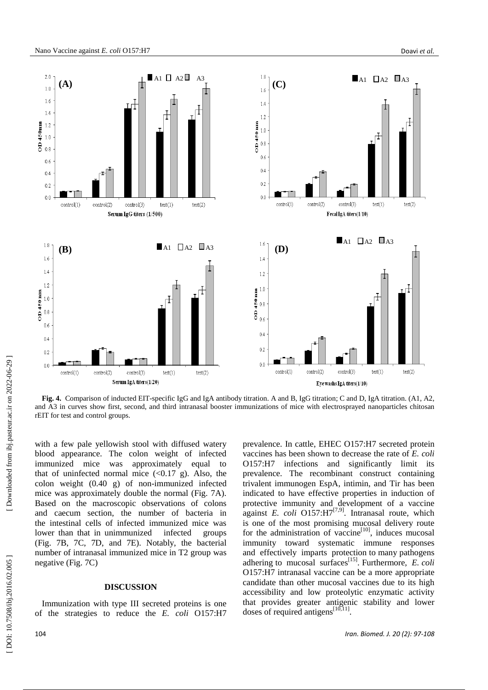

**Fig. 4.** Comparison of inducted EIT -specific IgG and IgA antibody titration. A and B, IgG titration; C and D, IgA titration. (A1, A2, and A3 in curves show first, second, and third intranasal booster immunizations of mice with electrosprayed nanoparticles chitosan rEIT for test and control groups.

with a few pale yellowish stool with diffused watery blood appearance. The colon weight of infected immunized mice was approximately equal to that of uninfected normal mice  $( $0.17 \text{ g}$ )$ . Also, the colon weight (0.40 g) of non -immunized infected mice was approximately double the normal (Fig. 7A). Based on the macroscopic observations of colons and caecum section, the number of bacteria in the intestinal cells of infected immunized mice was lower than that in unimmunized infected groups (Fig. 7B, 7C, 7D, and 7 E ) . Notably, the bacterial number of intranasal immunized mice in T2 group was negative (Fig. 7 C )

# **DISCUSSION**

Immunization with type III secreted proteins is one of the strategies to reduce the *E. coli* O157:H7

prevalence . In cattle, EHEC O157:H7 secreted protein vaccines has been shown to decrease the rate of *E. coli*  O157:H7 infections and significantly limit its prevalence. The recombinant construct containing trivalent immunogen EspA, intimin , and Tir has been indicated to have effective properties in induction of protective immunity and development of a vaccine against *E. coli* O157:H7<sup>[7,9]</sup>. Intranasal route, which is one of the most promising mucosal delivery route for the administration of vaccine $[10]$ , induces mucosal immunity toward systematic immune responses and effectively imparts protection to many pathogens adhering to mucosal surfaces<sup>[15]</sup>. Furthermore, *E. coli* O157:H7 intranasal vaccine can be a more appropriate candidate than other mucosal vaccines due to its high accessibility and low proteolytic enzymatic activity that provides greater antigenic stability and lower doses of required antigens $[10,11]$ .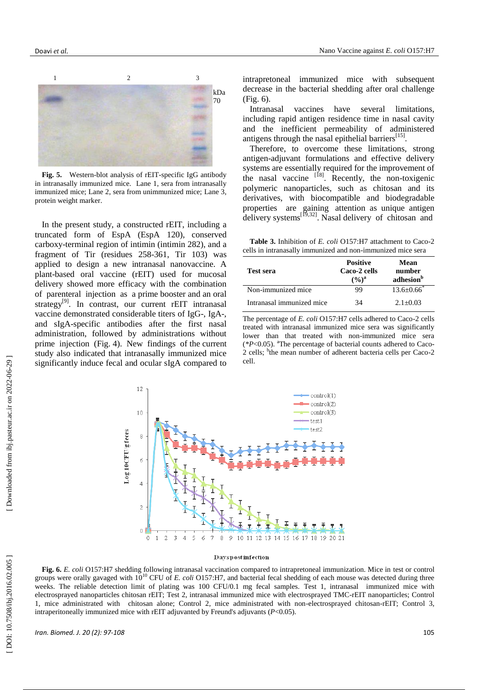

**Fig. 5.** Western -blot analysis of rEIT -specific IgG antibody in intranasally immunized mice. Lane 1, sera from intranasally immunized mice; Lane 2, sera from unimmunized mice; Lane 3, protein weight marker .

In the present study, a constructed rEIT , including a truncated form of EspA (EspA 120), conserved carboxy -terminal region of intimin ( intimin 282) , and a fragment of Tir (residues 258 -361, Tir 103) was applied to design a new intranasal nanovaccine. A plant -base d oral vaccine (rEIT) used for mucosal delivery showed more efficacy with the combination of parenteral injection as a prime booster and an oral strategy<sup>[9]</sup>. In contrast, our current rEIT intranasal vaccine demonstrated considerable titers of IgG-, IgA-, and sIgA -specific antibodies after the first nasal administration , followed by administrations without prime injection (Fig. 4). New findings of the current study also indicate d that intranasally immunized mice significantly induce fecal and ocular sIgA compared to

intrapretoneal immunized mice with subsequent decrease in the bacterial shedding after oral challenge (Fig. 6).

Intranasal vaccines have several limitations, including rapid antigen residence time in nasal cavity and the inefficient permeability of administered antigens through the nasal epithelial barriers<sup>[15]</sup>.

Therefore, to overcome these limitations, strong antigen -adjuvant formulations and effective delivery systems are essentially required for the improvement of the nasal vaccine <sup>[18]</sup>. Recently, the non-toxigenic polymeric nanoparticles, such as chitosan and its derivatives, with biocompatible and biodegradable properties are gaining attention as unique antigen delivery systems<sup>[19,32]</sup>. Nasal delivery of chitosan and

**Table 3.** Inhibition of *E. coli* O157:H7 attachment to Caco -2 cells in intranasally immunized and non -immunized mice sera

| <b>Test sera</b>          | <b>Positive</b><br>Caco-2 cells<br>$(9/6)^{a}$ | Mean<br>number<br>adhesion <sup>b</sup> |
|---------------------------|------------------------------------------------|-----------------------------------------|
| Non-immunized mice        | 99                                             | $13.6 \pm 0.66$                         |
| Intranasal immunized mice | 34                                             | $2.1 + 0.03$                            |

The percentage of *E. coli* O157:H7 cells adhered to Caco -2 cells treated with intranasal immunized mice sera was significantly lower than that treated with non -immunized mice sera (*\*P*<0.05). <sup>a</sup>The percentage of bacterial counts adhered to Caco *-* 2 cells; <sup>b</sup>the mean number of adherent bacteria cells per Caco-2 cell.



#### **Dayspostinfection**

**Fig. 6.** *E. coli* O157:H7 shedding following intranasal vaccination compared to intrapretoneal immunization. Mice in test or control groups were orally gavaged with 10<sup>10</sup> CFU of *E. coli* O157:H7, and bacterial fecal shedding of each mouse was detected during three weeks. The reliable detection limit of plating was 100 CFU/0.1 mg fecal samples. Test 1, intranasal immunized mice with electrosprayed nanoparticles chitosan rEIT; Test 2, intranasal immunized mice with electrosprayed TMC -rEIT nanoparticles; Control 1, mice administrated with chitosan alone; Control 2, mice administrated with non-electrosprayed chitosan-rEIT; Control 3, intraperitoneally immunized mice with rEIT adjuvanted by Freund's adjuvants ( *P*<0.05).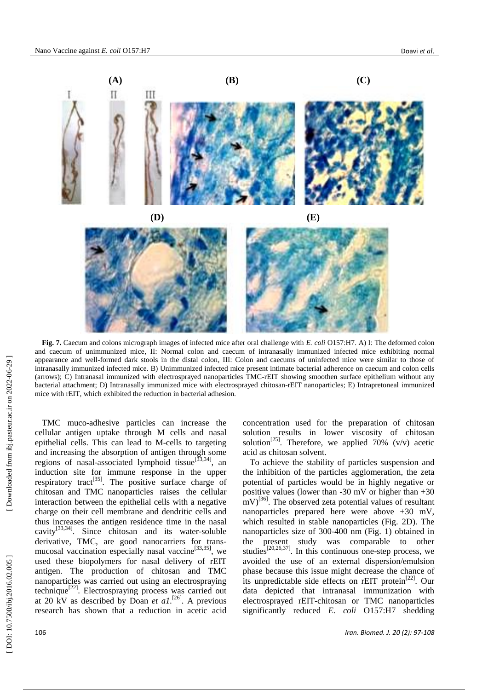

**Fig. 7.** Caecum and colons micrograph images of infected mice after oral challenge with *E. coli* O157:H7. A) I: The deformed colon and caecum of unimmunized mice, II: Normal colon and caecum of intranasally immunized infected mice exhibiting normal appearance and well -formed dark stools in the distal colon, III: Colon and caecums of uninfected mice were similar to those of intranasally immunized infected mice. B) Unimmunized infected mice present intimate bacterial adherence on caecum and colon cells (arrows); C) Intranasal immunized with electrosprayed nanoparticles TMC -rEIT showing smoothen surface epithelium without any bacterial attachment; D) Intranasally immunized mice with electrosprayed chitosan -rEIT nanoparticles; E) Intrapretoneal immunized mice with rEIT, which exhibited the reduction in bacterial adhesion.

TMC muco -adhesive particles can increase the cellular antigen uptake through M cells and nasal epithelial cells. This can lead to M -cells to targeting and increasing the absorption of antigen through some regions of nasal-associated lymphoid tissue<sup>[33,34]</sup>, an induction site for immune response in the upper respiratory tract<sup>[35]</sup>. The positive surface charge of chitosan and TMC nanoparticles raises the cellular interaction between the epithelial cells with a negative charge on their cell membrane and dendritic cells and thus increases the antigen residence time in the nasal cavity<sup>[33,34]</sup>. Since chitosan and its water-soluble derivative, TMC, are good nanocarriers for trans mucosal vaccination especially nasal vaccine<sup>[33,35]</sup>, we used these biopolymers for nasal delivery of rEIT antigen. The production of chitosan and TMC nanoparticles was carried out using an electrospraying technique<sup>[22]</sup>. Electrospraying process was carried out at 20 kV as described by Doan *et al.*<sup>[26]</sup>. A previous research has shown that a reduction in acetic acid

concentration used for the preparation of chitosan solution results in lower viscosity of chitosan solution<sup>[25]</sup>. Therefore, we applied 70% (v/v) acetic acid as chitosan solvent.

To achieve the stability of particles suspension and the inhibition of the particles agglomeration, the zeta potential of particles would be in highly negative or positive values (lower than -30 mV or higher than +30  $\text{mV}$ <sup>[36]</sup>. The observed zeta potential values of resultant nanoparticles prepared here were above +30 mV, which resulted in stable nanoparticles (Fig. 2D). The nanoparticles size of 300 -400 nm (Fig. 1) obtained in the present study was comparable to other studies<sup>[20,26,37]</sup>. In this continuous one-step process, we avoided the use of an external dispersion/emulsion phase because this issue might decrease the chance of its unpredictable side effects on rEIT protein<sup>[22]</sup>. Our data depicted that intranasal immunization with electrosprayed rEIT -chitosan or TMC nanoparticles significantly reduced *E. coli* O157:H7 shedding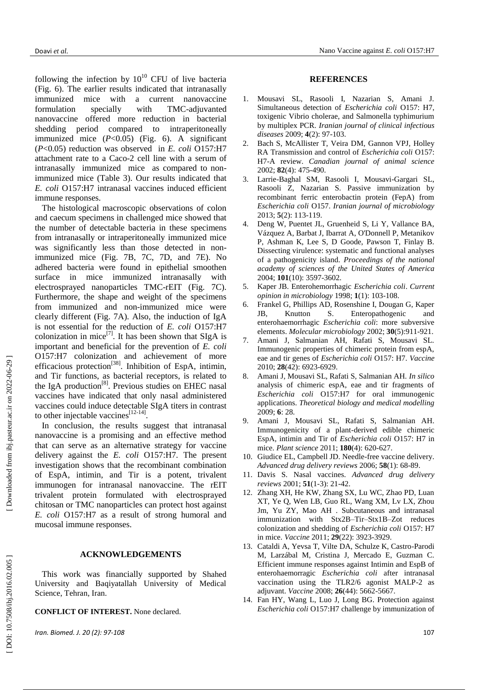Doavi *et al.* Nano Vaccine against *E. coli* O157:H7

following the infection by  $10^{10}$  CFU of live bacteria (Fig. 6). The earlier results indicated that intranasally immunized mice with a current nanovaccine<br>formulation specially with TMC-adjuvanted formulation specially TMC-adjuvanted nanovaccine offered more reduction in bacterial shedding period compared to intraperitoneally immunized mice ( *P*<0.05) (Fig. 6). A significant ( *P*<0.05) reduction was observed in *E. coli* O157:H7 attachment rate to a Caco -2 cell line with a serum of intranasally immunized mice as compared to non immunized mice (Table 3 ). Our results indicate d that *E. coli* O157:H7 intranasal vaccines induce d efficient immune responses. The histological macroscopic observations of colon

and caecum specimens in challenged mice showed that the number of detectable bacteria in these specimens from intranasally or intraperitoneally immunized mice was significantly less than those detected in non immunized mice (Fig. 7 B , 7 C , 7 D , and 7 E). No adhered bacteria were found in epithelial smoothen surface in mice immunized intranasally with electrosprayed nanoparticles TMC-rEIT (Fig. 7C). Furthermore, the shape and weight of the specimens from immunized and non -immunized mice were clearly different (Fig. 7 A ) . Also, the induction of IgA is not essential for the reduction of *E. coli* O157:H7 colonization in mice<sup>[7]</sup>. It has been shown that SIgA is important and beneficial for the preventi o n of *E. coli*  O157:H7 colonization and achievement of more efficacious protection<sup>[38]</sup>. Inhibition of EspA, intimin, and Tir function s, as bacterial receptors, is related to the IgA production<sup>[8]</sup>. Previous studies on EHEC nasal vaccines have indicated that only nasal adminis tered vaccines could induce detectable SIgA tit ers in contrast to other injectable vaccines $^{[12-14]}$ .

In conclusion, the results suggest that intranasal nanovaccine is a promising and an effective method that can serve as an alternative strategy for vaccine delivery against the *E. coli* O157:H7. The present investigation shows that the recombinant combination of EspA, intimin , and Tir is a potent , trivalent immunogen for intranasal nanovaccine. The rEIT trivalent protein formulated with electrosprayed chitosa n or TMC nanoparticles can protect host against *E. coli* O157:H7 as a result of strong humoral and mucosal immune responses.

#### **ACKNOWLEDGEMENTS**

This work was financially supported by Shahed University and Baqiyatallah University of Medical Science, Tehran, Iran .

**CONFLICT OF INTEREST.** None declared.

*Iran. Biomed. J. 20 (2): 97 -108* 107

#### **REFERENCES**

- 1 . Mousavi SL, Rasooli I, Nazarian S, Amani J. Simultaneous detection of *Escherichia coli* O157: H7, toxigenic Vibrio cholerae, and Salmonella typhimurium by multiplex PCR. *Iranian journal of clinical infectious diseases* 2009; **4**(2): 97 -103.
- 2. . Bach S, McAllister T, Veira D M, Gannon VPJ, Holley R A Transmission and control of *Escherichia coli* O157: H7 -A review. *Canadian journal of animal science* 2002; **82**(4): 475 - 490.
- 3 . Larrie -Baghal SM, Rasooli I, Mousavi -Gargari SL, Rasooli Z, Nazarian S. Passive immunization by recombinant ferric enterobactin protein (FepA) from *Escherichia coli* O157. *Iranian journal of microbiology* 2013; **5**(2): 113 -119.
- 4 . Deng W, Puentet JL, Gruenheid S, Li Y, Vallance BA, Vázquez A, Barbat J, Ibarrat A, O'Donnell P, Metanikov P, Ashman K, Lee S, D Goode, Pawson T, Finlay B. Dissecting virulence: systematic and functional analyses of a pathogenicity island. *Proceedings of the national academy of sciences of the United States of America*  2004; **101**(10): 3597 -3602.
- 5 . Kaper JB. Enterohemorrhagic *Escherichia coli*. *Current opinion in microbiology* 1998; **1**(1): 103 -108.
- 6 . Frankel G, Phillips AD, Rosenshine I, Dougan G, Kaper JB, Knutton S. Enteropathogenic and enterohaemorrhagic *Escherichia coli*: more subversive elements. *Molecular microbiology* 2002; **30**(5):911 - 921.
- 7 . Amani J, Salmanian AH, Rafati S, Mousavi SL. Immunogenic properties of chimeric protein from espA, eae and tir genes of *Escherichia coli* O157: H7. *Vaccine*  2010; **28**(42): 6923 -6929 .
- 8 . Amani J, Mousavi SL, Rafati S, Salmanian AH. *In silico* analysis of chimeric espA, eae and tir fragments of *Escherichia coli* O157:H7 for oral immunogenic applications. *Theoretical biology and medical modelling*  2009; **6**: 28.
- 9. . Amani J, Mousavi SL, Rafati S, Salmanian AH. Immunogenicity of a plant -derived edible chimeric EspA, intimin and Tir of *Escherichia coli* O157: H7 in mice. *Plant science* 2011; **180**(4): 620 -627.
- 10 . Giudice EL, Campbell JD. Needle -free vaccine delivery. *Advanced drug delivery reviews* 2006; **58** (1): 68 -89.
- 11 . Davis S. Nasal vaccines. *Advanced drug delivery reviews* 2001; **51**(1 -3): 21 -42.
- 12 . Zhang XH, He KW, Zhang SX, Lu WC, Zhao PD, Luan XT, Ye Q, Wen LB, Guo RL, Wang XM, Lv LX, Zhou Jm, Yu ZY, Mao AH . Subcutaneous and intranasal immunization with Stx2B –Tir–Stx1B –Zot reduces colonization and shedding of *Escherichia coli* O157: H7 in mice. *Vaccine* 2011; **29**(22): 3923 -3929.
- 13 . Cataldi A, Yevsa T, Vilte DA, Schulze K, Castro -Parodi M, Larzábal M, Cristina J, Mercado E, Guzman C. Efficient immune responses against Intimin and EspB of enterohaemorragic *Escherichia coli* after intranasal vaccination using the TLR2/6 agonist MALP-2 as adjuvant. *Vaccine* 2008; **26**(44): 5662 -5667.
- 14 . Fan HY, Wang L, Luo J, Long BG. Protection against *Escherichia coli* O157:H7 challenge by immunization of